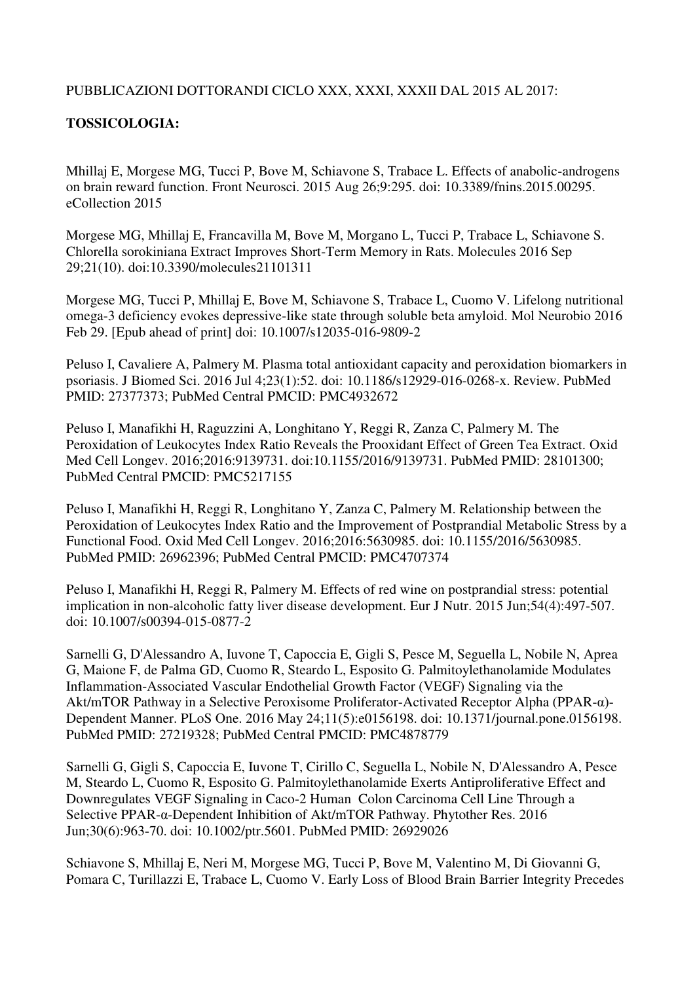## PUBBLICAZIONI DOTTORANDI CICLO XXX, XXXI, XXXII DAL 2015 AL 2017:

## **TOSSICOLOGIA:**

Mhillaj E, Morgese MG, Tucci P, Bove M, Schiavone S, Trabace L. Effects of anabolic-androgens on brain reward function. Front Neurosci. 2015 Aug 26;9:295. doi: 10.3389/fnins.2015.00295. eCollection 2015

Morgese MG, Mhillaj E, Francavilla M, Bove M, Morgano L, Tucci P, Trabace L, Schiavone S. Chlorella sorokiniana Extract Improves Short-Term Memory in Rats. Molecules 2016 Sep 29;21(10). doi:10.3390/molecules21101311

Morgese MG, Tucci P, Mhillaj E, Bove M, Schiavone S, Trabace L, Cuomo V. Lifelong nutritional omega-3 deficiency evokes depressive-like state through soluble beta amyloid. Mol Neurobio 2016 Feb 29. [Epub ahead of print] doi: 10.1007/s12035-016-9809-2

Peluso I, Cavaliere A, Palmery M. Plasma total antioxidant capacity and peroxidation biomarkers in psoriasis. J Biomed Sci. 2016 Jul 4;23(1):52. doi: 10.1186/s12929-016-0268-x. Review. PubMed PMID: 27377373; PubMed Central PMCID: PMC4932672

Peluso I, Manafikhi H, Raguzzini A, Longhitano Y, Reggi R, Zanza C, Palmery M. The Peroxidation of Leukocytes Index Ratio Reveals the Prooxidant Effect of Green Tea Extract. Oxid Med Cell Longev. 2016;2016:9139731. doi:10.1155/2016/9139731. PubMed PMID: 28101300; PubMed Central PMCID: PMC5217155

Peluso I, Manafikhi H, Reggi R, Longhitano Y, Zanza C, Palmery M. Relationship between the Peroxidation of Leukocytes Index Ratio and the Improvement of Postprandial Metabolic Stress by a Functional Food. Oxid Med Cell Longev. 2016;2016:5630985. doi: 10.1155/2016/5630985. PubMed PMID: 26962396; PubMed Central PMCID: PMC4707374

Peluso I, Manafikhi H, Reggi R, Palmery M. Effects of red wine on postprandial stress: potential implication in non-alcoholic fatty liver disease development. Eur J Nutr. 2015 Jun;54(4):497-507. doi: 10.1007/s00394-015-0877-2

Sarnelli G, D'Alessandro A, Iuvone T, Capoccia E, Gigli S, Pesce M, Seguella L, Nobile N, Aprea G, Maione F, de Palma GD, Cuomo R, Steardo L, Esposito G. Palmitoylethanolamide Modulates Inflammation-Associated Vascular Endothelial Growth Factor (VEGF) Signaling via the Akt/mTOR Pathway in a Selective Peroxisome Proliferator-Activated Receptor Alpha (PPAR-α)- Dependent Manner. PLoS One. 2016 May 24;11(5):e0156198. doi: 10.1371/journal.pone.0156198. PubMed PMID: 27219328; PubMed Central PMCID: PMC4878779

Sarnelli G, Gigli S, Capoccia E, Iuvone T, Cirillo C, Seguella L, Nobile N, D'Alessandro A, Pesce M, Steardo L, Cuomo R, Esposito G. Palmitoylethanolamide Exerts Antiproliferative Effect and Downregulates VEGF Signaling in Caco-2 Human Colon Carcinoma Cell Line Through a Selective PPAR-α-Dependent Inhibition of Akt/mTOR Pathway. Phytother Res. 2016 Jun;30(6):963-70. doi: 10.1002/ptr.5601. PubMed PMID: 26929026

Schiavone S, Mhillaj E, Neri M, Morgese MG, Tucci P, Bove M, Valentino M, Di Giovanni G, Pomara C, Turillazzi E, Trabace L, Cuomo V. Early Loss of Blood Brain Barrier Integrity Precedes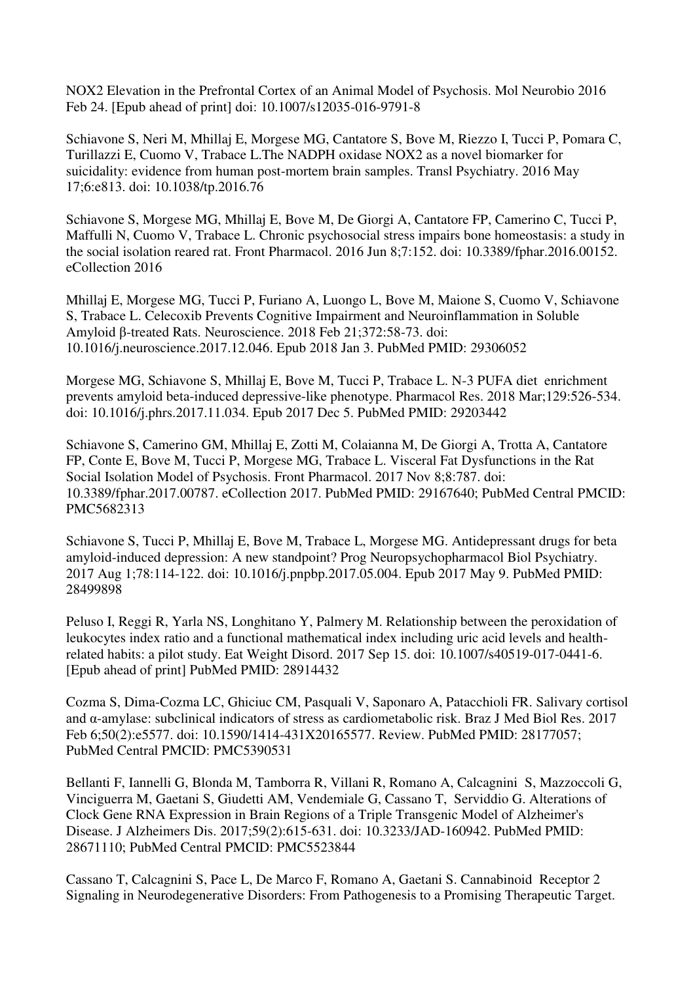NOX2 Elevation in the Prefrontal Cortex of an Animal Model of Psychosis. Mol Neurobio 2016 Feb 24. [Epub ahead of print] doi: 10.1007/s12035-016-9791-8

Schiavone S, Neri M, Mhillaj E, Morgese MG, Cantatore S, Bove M, Riezzo I, Tucci P, Pomara C, Turillazzi E, Cuomo V, Trabace L.The NADPH oxidase NOX2 as a novel biomarker for suicidality: evidence from human post-mortem brain samples. Transl Psychiatry. 2016 May 17;6:e813. doi: 10.1038/tp.2016.76

Schiavone S, Morgese MG, Mhillaj E, Bove M, De Giorgi A, Cantatore FP, Camerino C, Tucci P, Maffulli N, Cuomo V, Trabace L. Chronic psychosocial stress impairs bone homeostasis: a study in the social isolation reared rat. Front Pharmacol. 2016 Jun 8;7:152. doi: 10.3389/fphar.2016.00152. eCollection 2016

Mhillaj E, Morgese MG, Tucci P, Furiano A, Luongo L, Bove M, Maione S, Cuomo V, Schiavone S, Trabace L. Celecoxib Prevents Cognitive Impairment and Neuroinflammation in Soluble Amyloid β-treated Rats. Neuroscience. 2018 Feb 21;372:58-73. doi: 10.1016/j.neuroscience.2017.12.046. Epub 2018 Jan 3. PubMed PMID: 29306052

Morgese MG, Schiavone S, Mhillaj E, Bove M, Tucci P, Trabace L. N-3 PUFA diet enrichment prevents amyloid beta-induced depressive-like phenotype. Pharmacol Res. 2018 Mar;129:526-534. doi: 10.1016/j.phrs.2017.11.034. Epub 2017 Dec 5. PubMed PMID: 29203442

Schiavone S, Camerino GM, Mhillaj E, Zotti M, Colaianna M, De Giorgi A, Trotta A, Cantatore FP, Conte E, Bove M, Tucci P, Morgese MG, Trabace L. Visceral Fat Dysfunctions in the Rat Social Isolation Model of Psychosis. Front Pharmacol. 2017 Nov 8;8:787. doi: 10.3389/fphar.2017.00787. eCollection 2017. PubMed PMID: 29167640; PubMed Central PMCID: PMC5682313

Schiavone S, Tucci P, Mhillaj E, Bove M, Trabace L, Morgese MG. Antidepressant drugs for beta amyloid-induced depression: A new standpoint? Prog Neuropsychopharmacol Biol Psychiatry. 2017 Aug 1;78:114-122. doi: 10.1016/j.pnpbp.2017.05.004. Epub 2017 May 9. PubMed PMID: 28499898

Peluso I, Reggi R, Yarla NS, Longhitano Y, Palmery M. Relationship between the peroxidation of leukocytes index ratio and a functional mathematical index including uric acid levels and healthrelated habits: a pilot study. Eat Weight Disord. 2017 Sep 15. doi: 10.1007/s40519-017-0441-6. [Epub ahead of print] PubMed PMID: 28914432

Cozma S, Dima-Cozma LC, Ghiciuc CM, Pasquali V, Saponaro A, Patacchioli FR. Salivary cortisol and α-amylase: subclinical indicators of stress as cardiometabolic risk. Braz J Med Biol Res. 2017 Feb 6;50(2):e5577. doi: 10.1590/1414-431X20165577. Review. PubMed PMID: 28177057; PubMed Central PMCID: PMC5390531

Bellanti F, Iannelli G, Blonda M, Tamborra R, Villani R, Romano A, Calcagnini S, Mazzoccoli G, Vinciguerra M, Gaetani S, Giudetti AM, Vendemiale G, Cassano T, Serviddio G. Alterations of Clock Gene RNA Expression in Brain Regions of a Triple Transgenic Model of Alzheimer's Disease. J Alzheimers Dis. 2017;59(2):615-631. doi: 10.3233/JAD-160942. PubMed PMID: 28671110; PubMed Central PMCID: PMC5523844

Cassano T, Calcagnini S, Pace L, De Marco F, Romano A, Gaetani S. Cannabinoid Receptor 2 Signaling in Neurodegenerative Disorders: From Pathogenesis to a Promising Therapeutic Target.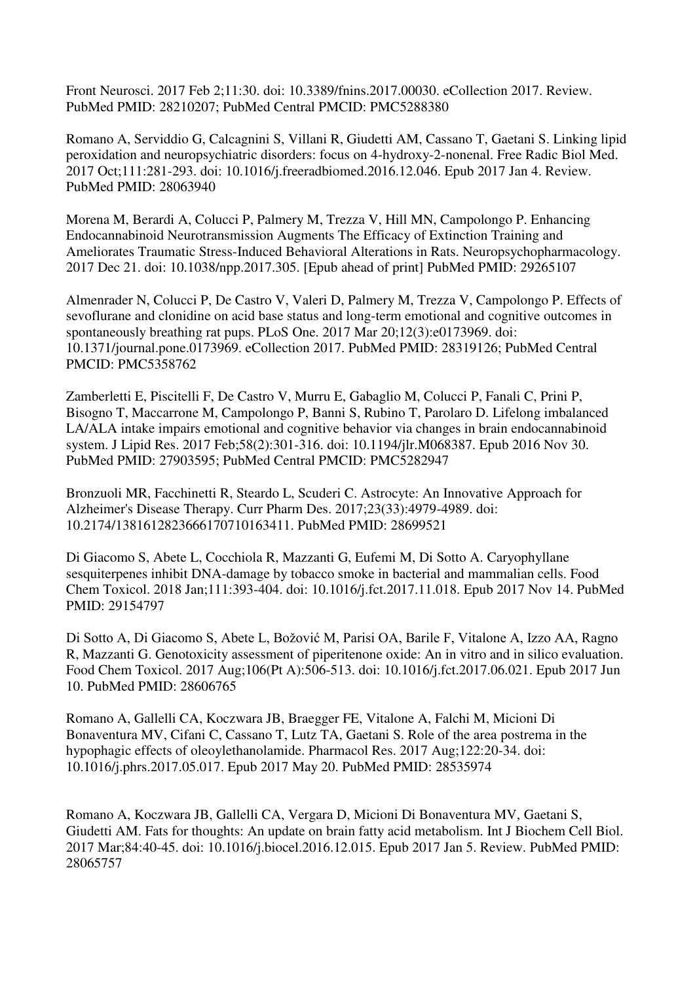Front Neurosci. 2017 Feb 2;11:30. doi: 10.3389/fnins.2017.00030. eCollection 2017. Review. PubMed PMID: 28210207; PubMed Central PMCID: PMC5288380

Romano A, Serviddio G, Calcagnini S, Villani R, Giudetti AM, Cassano T, Gaetani S. Linking lipid peroxidation and neuropsychiatric disorders: focus on 4-hydroxy-2-nonenal. Free Radic Biol Med. 2017 Oct;111:281-293. doi: 10.1016/j.freeradbiomed.2016.12.046. Epub 2017 Jan 4. Review. PubMed PMID: 28063940

Morena M, Berardi A, Colucci P, Palmery M, Trezza V, Hill MN, Campolongo P. Enhancing Endocannabinoid Neurotransmission Augments The Efficacy of Extinction Training and Ameliorates Traumatic Stress-Induced Behavioral Alterations in Rats. Neuropsychopharmacology. 2017 Dec 21. doi: 10.1038/npp.2017.305. [Epub ahead of print] PubMed PMID: 29265107

Almenrader N, Colucci P, De Castro V, Valeri D, Palmery M, Trezza V, Campolongo P. Effects of sevoflurane and clonidine on acid base status and long-term emotional and cognitive outcomes in spontaneously breathing rat pups. PLoS One. 2017 Mar 20;12(3):e0173969. doi: 10.1371/journal.pone.0173969. eCollection 2017. PubMed PMID: 28319126; PubMed Central PMCID: PMC5358762

Zamberletti E, Piscitelli F, De Castro V, Murru E, Gabaglio M, Colucci P, Fanali C, Prini P, Bisogno T, Maccarrone M, Campolongo P, Banni S, Rubino T, Parolaro D. Lifelong imbalanced LA/ALA intake impairs emotional and cognitive behavior via changes in brain endocannabinoid system. J Lipid Res. 2017 Feb;58(2):301-316. doi: 10.1194/jlr.M068387. Epub 2016 Nov 30. PubMed PMID: 27903595; PubMed Central PMCID: PMC5282947

Bronzuoli MR, Facchinetti R, Steardo L, Scuderi C. Astrocyte: An Innovative Approach for Alzheimer's Disease Therapy. Curr Pharm Des. 2017;23(33):4979-4989. doi: 10.2174/1381612823666170710163411. PubMed PMID: 28699521

Di Giacomo S, Abete L, Cocchiola R, Mazzanti G, Eufemi M, Di Sotto A. Caryophyllane sesquiterpenes inhibit DNA-damage by tobacco smoke in bacterial and mammalian cells. Food Chem Toxicol. 2018 Jan;111:393-404. doi: 10.1016/j.fct.2017.11.018. Epub 2017 Nov 14. PubMed PMID: 29154797

Di Sotto A, Di Giacomo S, Abete L, Božović M, Parisi OA, Barile F, Vitalone A, Izzo AA, Ragno R, Mazzanti G. Genotoxicity assessment of piperitenone oxide: An in vitro and in silico evaluation. Food Chem Toxicol. 2017 Aug;106(Pt A):506-513. doi: 10.1016/j.fct.2017.06.021. Epub 2017 Jun 10. PubMed PMID: 28606765

Romano A, Gallelli CA, Koczwara JB, Braegger FE, Vitalone A, Falchi M, Micioni Di Bonaventura MV, Cifani C, Cassano T, Lutz TA, Gaetani S. Role of the area postrema in the hypophagic effects of oleoylethanolamide. Pharmacol Res. 2017 Aug;122:20-34. doi: 10.1016/j.phrs.2017.05.017. Epub 2017 May 20. PubMed PMID: 28535974

Romano A, Koczwara JB, Gallelli CA, Vergara D, Micioni Di Bonaventura MV, Gaetani S, Giudetti AM. Fats for thoughts: An update on brain fatty acid metabolism. Int J Biochem Cell Biol. 2017 Mar;84:40-45. doi: 10.1016/j.biocel.2016.12.015. Epub 2017 Jan 5. Review. PubMed PMID: 28065757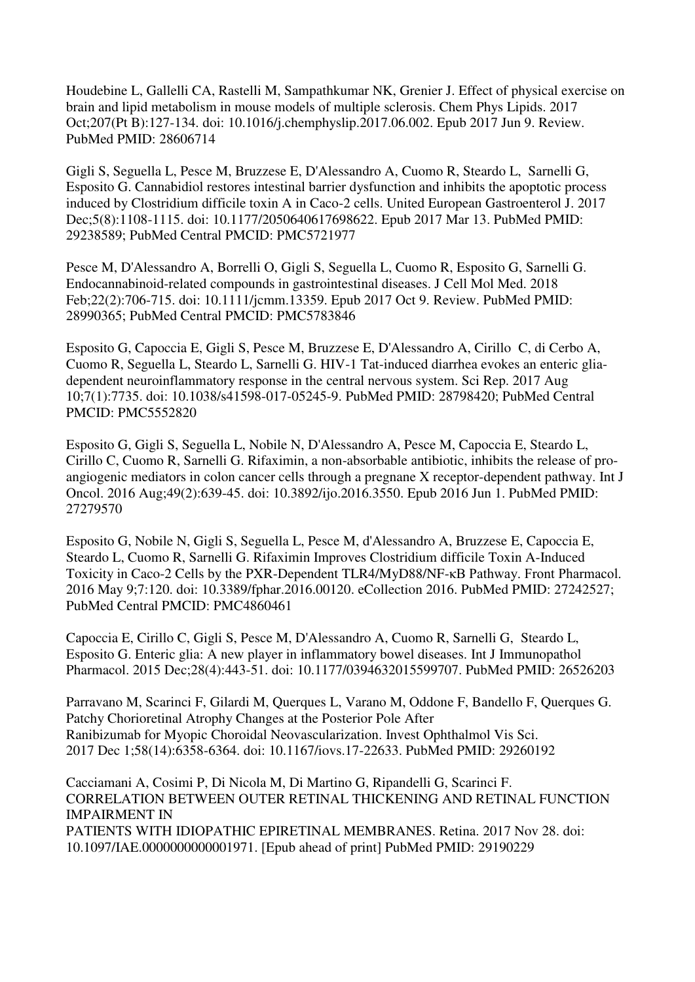Houdebine L, Gallelli CA, Rastelli M, Sampathkumar NK, Grenier J. Effect of physical exercise on brain and lipid metabolism in mouse models of multiple sclerosis. Chem Phys Lipids. 2017 Oct;207(Pt B):127-134. doi: 10.1016/j.chemphyslip.2017.06.002. Epub 2017 Jun 9. Review. PubMed PMID: 28606714

Gigli S, Seguella L, Pesce M, Bruzzese E, D'Alessandro A, Cuomo R, Steardo L, Sarnelli G, Esposito G. Cannabidiol restores intestinal barrier dysfunction and inhibits the apoptotic process induced by Clostridium difficile toxin A in Caco-2 cells. United European Gastroenterol J. 2017 Dec;5(8):1108-1115. doi: 10.1177/2050640617698622. Epub 2017 Mar 13. PubMed PMID: 29238589; PubMed Central PMCID: PMC5721977

Pesce M, D'Alessandro A, Borrelli O, Gigli S, Seguella L, Cuomo R, Esposito G, Sarnelli G. Endocannabinoid-related compounds in gastrointestinal diseases. J Cell Mol Med. 2018 Feb;22(2):706-715. doi: 10.1111/jcmm.13359. Epub 2017 Oct 9. Review. PubMed PMID: 28990365; PubMed Central PMCID: PMC5783846

Esposito G, Capoccia E, Gigli S, Pesce M, Bruzzese E, D'Alessandro A, Cirillo C, di Cerbo A, Cuomo R, Seguella L, Steardo L, Sarnelli G. HIV-1 Tat-induced diarrhea evokes an enteric gliadependent neuroinflammatory response in the central nervous system. Sci Rep. 2017 Aug 10;7(1):7735. doi: 10.1038/s41598-017-05245-9. PubMed PMID: 28798420; PubMed Central PMCID: PMC5552820

Esposito G, Gigli S, Seguella L, Nobile N, D'Alessandro A, Pesce M, Capoccia E, Steardo L, Cirillo C, Cuomo R, Sarnelli G. Rifaximin, a non-absorbable antibiotic, inhibits the release of proangiogenic mediators in colon cancer cells through a pregnane X receptor-dependent pathway. Int J Oncol. 2016 Aug;49(2):639-45. doi: 10.3892/ijo.2016.3550. Epub 2016 Jun 1. PubMed PMID: 27279570

Esposito G, Nobile N, Gigli S, Seguella L, Pesce M, d'Alessandro A, Bruzzese E, Capoccia E, Steardo L, Cuomo R, Sarnelli G. Rifaximin Improves Clostridium difficile Toxin A-Induced Toxicity in Caco-2 Cells by the PXR-Dependent TLR4/MyD88/NF-κB Pathway. Front Pharmacol. 2016 May 9;7:120. doi: 10.3389/fphar.2016.00120. eCollection 2016. PubMed PMID: 27242527; PubMed Central PMCID: PMC4860461

Capoccia E, Cirillo C, Gigli S, Pesce M, D'Alessandro A, Cuomo R, Sarnelli G, Steardo L, Esposito G. Enteric glia: A new player in inflammatory bowel diseases. Int J Immunopathol Pharmacol. 2015 Dec;28(4):443-51. doi: 10.1177/0394632015599707. PubMed PMID: 26526203

Parravano M, Scarinci F, Gilardi M, Querques L, Varano M, Oddone F, Bandello F, Querques G. Patchy Chorioretinal Atrophy Changes at the Posterior Pole After Ranibizumab for Myopic Choroidal Neovascularization. Invest Ophthalmol Vis Sci. 2017 Dec 1;58(14):6358-6364. doi: 10.1167/iovs.17-22633. PubMed PMID: 29260192

Cacciamani A, Cosimi P, Di Nicola M, Di Martino G, Ripandelli G, Scarinci F. CORRELATION BETWEEN OUTER RETINAL THICKENING AND RETINAL FUNCTION IMPAIRMENT IN PATIENTS WITH IDIOPATHIC EPIRETINAL MEMBRANES. Retina. 2017 Nov 28. doi: 10.1097/IAE.0000000000001971. [Epub ahead of print] PubMed PMID: 29190229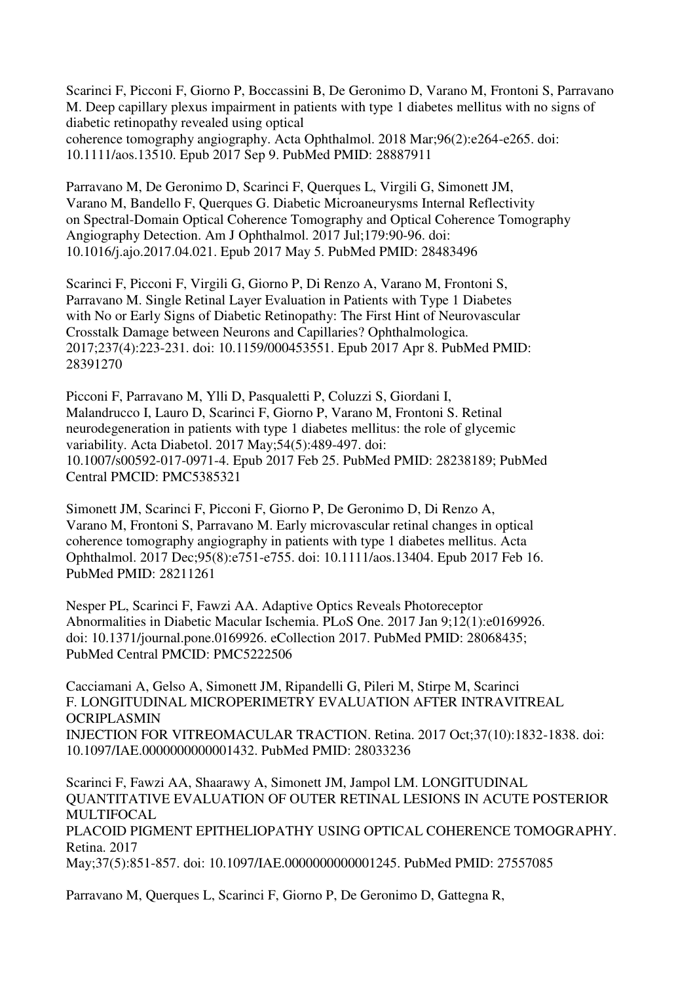Scarinci F, Picconi F, Giorno P, Boccassini B, De Geronimo D, Varano M, Frontoni S, Parravano M. Deep capillary plexus impairment in patients with type 1 diabetes mellitus with no signs of diabetic retinopathy revealed using optical coherence tomography angiography. Acta Ophthalmol. 2018 Mar;96(2):e264-e265. doi: 10.1111/aos.13510. Epub 2017 Sep 9. PubMed PMID: 28887911

Parravano M, De Geronimo D, Scarinci F, Querques L, Virgili G, Simonett JM, Varano M, Bandello F, Querques G. Diabetic Microaneurysms Internal Reflectivity on Spectral-Domain Optical Coherence Tomography and Optical Coherence Tomography Angiography Detection. Am J Ophthalmol. 2017 Jul;179:90-96. doi: 10.1016/j.ajo.2017.04.021. Epub 2017 May 5. PubMed PMID: 28483496

Scarinci F, Picconi F, Virgili G, Giorno P, Di Renzo A, Varano M, Frontoni S, Parravano M. Single Retinal Layer Evaluation in Patients with Type 1 Diabetes with No or Early Signs of Diabetic Retinopathy: The First Hint of Neurovascular Crosstalk Damage between Neurons and Capillaries? Ophthalmologica. 2017;237(4):223-231. doi: 10.1159/000453551. Epub 2017 Apr 8. PubMed PMID: 28391270

Picconi F, Parravano M, Ylli D, Pasqualetti P, Coluzzi S, Giordani I, Malandrucco I, Lauro D, Scarinci F, Giorno P, Varano M, Frontoni S. Retinal neurodegeneration in patients with type 1 diabetes mellitus: the role of glycemic variability. Acta Diabetol. 2017 May;54(5):489-497. doi: 10.1007/s00592-017-0971-4. Epub 2017 Feb 25. PubMed PMID: 28238189; PubMed Central PMCID: PMC5385321

Simonett JM, Scarinci F, Picconi F, Giorno P, De Geronimo D, Di Renzo A, Varano M, Frontoni S, Parravano M. Early microvascular retinal changes in optical coherence tomography angiography in patients with type 1 diabetes mellitus. Acta Ophthalmol. 2017 Dec;95(8):e751-e755. doi: 10.1111/aos.13404. Epub 2017 Feb 16. PubMed PMID: 28211261

Nesper PL, Scarinci F, Fawzi AA. Adaptive Optics Reveals Photoreceptor Abnormalities in Diabetic Macular Ischemia. PLoS One. 2017 Jan 9;12(1):e0169926. doi: 10.1371/journal.pone.0169926. eCollection 2017. PubMed PMID: 28068435; PubMed Central PMCID: PMC5222506

Cacciamani A, Gelso A, Simonett JM, Ripandelli G, Pileri M, Stirpe M, Scarinci F. LONGITUDINAL MICROPERIMETRY EVALUATION AFTER INTRAVITREAL **OCRIPLASMIN** INJECTION FOR VITREOMACULAR TRACTION. Retina. 2017 Oct;37(10):1832-1838. doi: 10.1097/IAE.0000000000001432. PubMed PMID: 28033236

Scarinci F, Fawzi AA, Shaarawy A, Simonett JM, Jampol LM. LONGITUDINAL QUANTITATIVE EVALUATION OF OUTER RETINAL LESIONS IN ACUTE POSTERIOR MULTIFOCAL. PLACOID PIGMENT EPITHELIOPATHY USING OPTICAL COHERENCE TOMOGRAPHY. Retina. 2017 May;37(5):851-857. doi: 10.1097/IAE.0000000000001245. PubMed PMID: 27557085

Parravano M, Querques L, Scarinci F, Giorno P, De Geronimo D, Gattegna R,